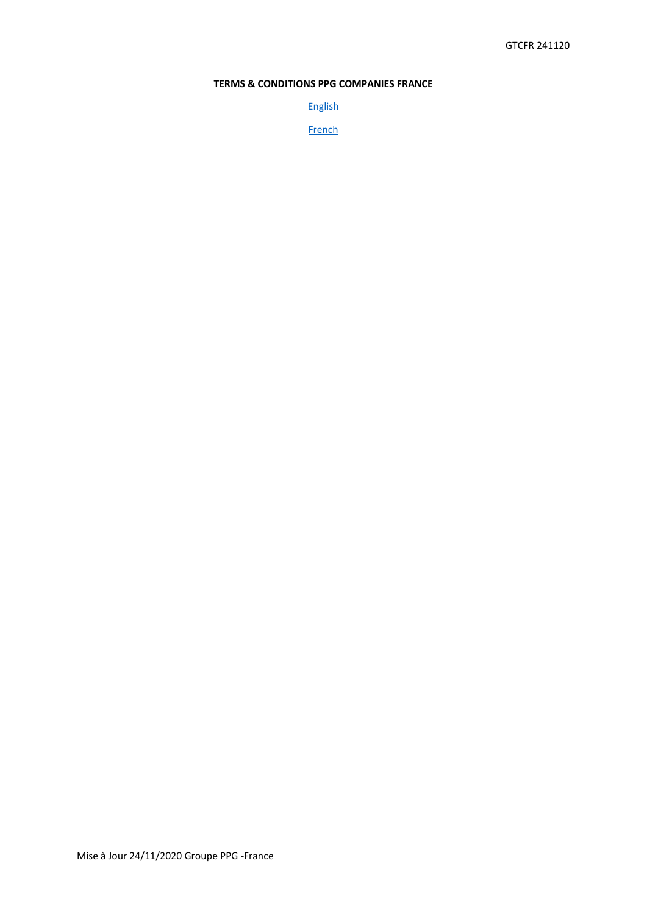# **TERMS & CONDITIONS PPG COMPANIES FRANCE**

[English](#page-1-0)

**[French](#page-3-0)**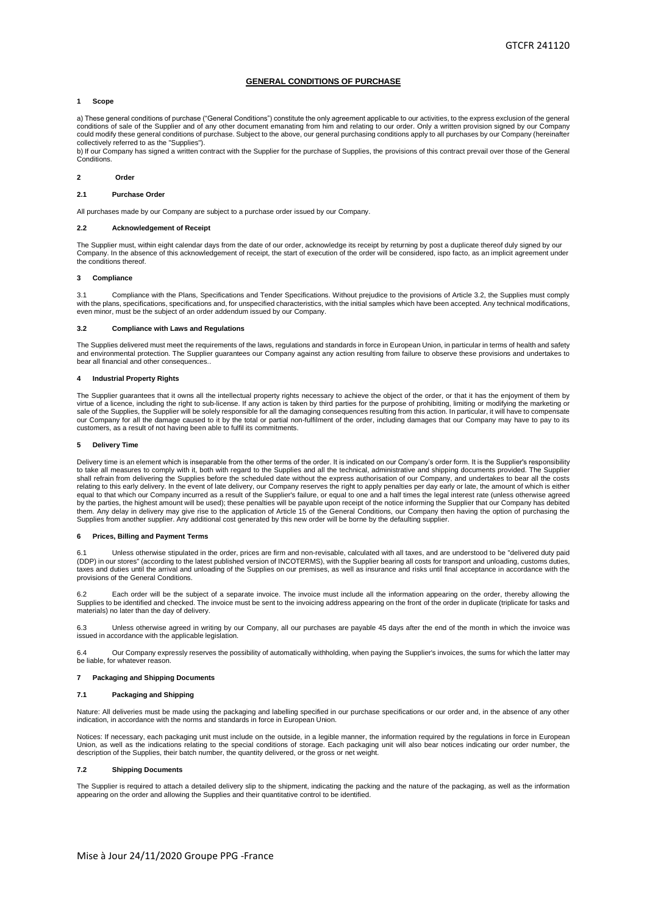# **GENERAL CONDITIONS OF PURCHASE**

# <span id="page-1-0"></span>**1 Scope**

a) These general conditions of purchase ("General Conditions") constitute the only agreement applicable to our activities, to the express exclusion of the general conditions of sale of the Supplier and of any other document emanating from him and relating to our order. Only a written provision signed by our Company could modify these general conditions of purchase. Subject to the above, our general purchasing conditions apply to all purchases by our Company (hereinafter collectively referred to as the "Supplies").

b) If our Company has signed a written contract with the Supplier for the purchase of Supplies, the provisions of this contract prevail over those of the General Conditions.

### **2 Order**

# **2.1 Purchase Order**

All purchases made by our Company are subject to a purchase order issued by our Company.

# **2.2 Acknowledgement of Receipt**

The Supplier must, within eight calendar days from the date of our order, acknowledge its receipt by returning by post a duplicate thereof duly signed by our Company. In the absence of this acknowledgement of receipt, the start of execution of the order will be considered, ispo facto, as an implicit agreement under the conditions thereof.

# **3 Compliance**

Compliance with the Plans, Specifications and Tender Specifications. Without prejudice to the provisions of Article 3.2, the Supplies must comply with the plans, specifications, specifications and, for unspecified characteristics, with the initial samples which have been accepted. Any technical modifications,<br>even minor, must be the subject of an order addendum issu

### **3.2 Compliance with Laws and Regulations**

The Supplies delivered must meet the requirements of the laws, requlations and standards in force in European Union, in particular in terms of health and safety and environmental protection. The Supplier guarantees our Company against any action resulting from failure to observe these provisions and undertakes to bear all financial and other consequences.

# **4 Industrial Property Rights**

The Supplier guarantees that it owns all the intellectual property rights necessary to achieve the object of the order, or that it has the enjoyment of them by virtue of a licence, including the right to sub-license. If any action is taken by third parties for the purpose of prohibiting, limiting or modifying the marketing or<br>sale of the Supplies, the Supplier will be solely resp our Company for all the damage caused to it by the total or partial non-fulfilment of the order, including damages that our Company may have to pay to its customers, as a result of not having been able to fulfil its commitments.

# **5 Delivery Time**

Delivery time is an element which is inseparable from the other terms of the order. It is indicated on our Company's order form. It is the Supplier's responsibility to take all measures to comply with it, both with regard to the Supplies and all the technical, administrative and shipping documents provided. The Supplier<br>shall refrain from delivering the Supplies before the scheduled d relating to this early delivery. In the event of late delivery, our Company reserves the right to apply penalties per day early or late, the amount of which is either equal to that which our Company incurred as a result of the Supplier's failure, or equal to one and a half times the legal interest rate (unless otherwise agreed<br>by the parties, the highest amount will be used); these pena them. Any delay in delivery may give rise to the application of Article 15 of the General Conditions, our Company then having the option of purchasing the Supplies from another supplier. Any additional cost generated by this new order will be borne by the defaulting supplier.

# **6 Prices, Billing and Payment Terms**

6.1 Unless otherwise stipulated in the order, prices are firm and non-revisable, calculated with all taxes, and are understood to be "delivered duty paid<br>(DDP) in our stores" (according to the latest published version of I provisions of the General Conditions.

6.2 Each order will be the subject of a separate invoice. The invoice must include all the information appearing on the order, thereby allowing the Supplies to be identified and checked. The invoice must be sent to the invoicing address appearing on the front of the order in duplicate (triplicate for tasks and materials) no later than the day of delivery.

Unless otherwise agreed in writing by our Company, all our purchases are payable 45 days after the end of the month in which the invoice was issued in accordance with the applicable legislation.

6.4 Our Company expressly reserves the possibility of automatically withholding, when paying the Supplier's invoices, the sums for which the latter may be liable, for whatever reason.

#### **7 Packaging and Shipping Documents**

# **7.1 Packaging and Shipping**

Nature: All deliveries must be made using the packaging and labelling specified in our purchase specifications or our order and, in the absence of any other indication, in accordance with the norms and standards in force in European Union.

Notices: If necessary, each packaging unit must include on the outside, in a legible manner, the information required by the regulations in force in European Union, as well as the indications relating to the special conditions of storage. Each packaging unit will also bear notices indicating our order number, the<br>description of the Supplies, their batch number, the quantity del

#### **7.2 Shipping Documents**

The Supplier is required to attach a detailed delivery slip to the shipment, indicating the packing and the nature of the packaging, as well as the information appearing on the order and allowing the Supplies and their quantitative control to be identified.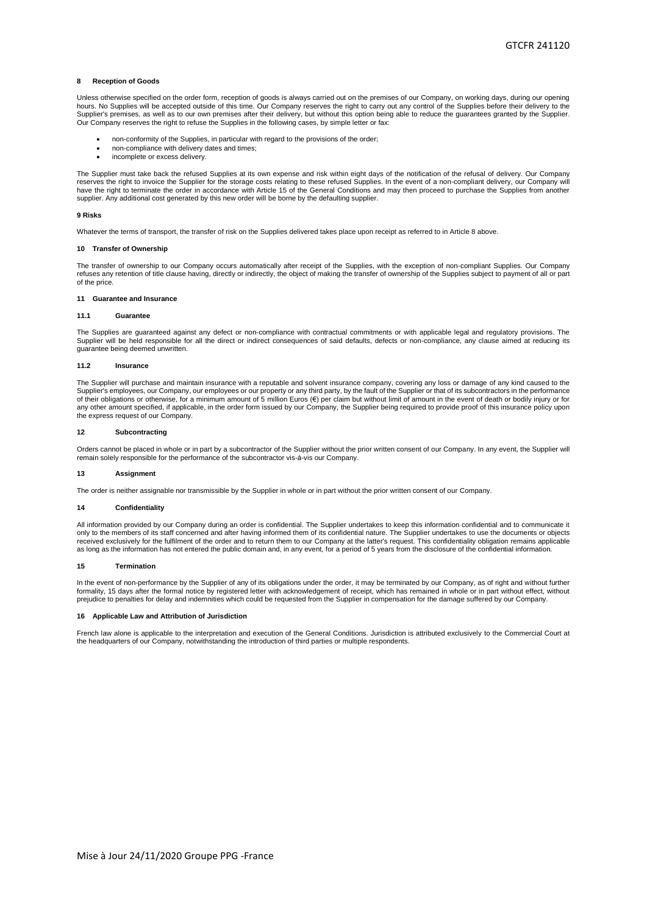# **8 Reception of Goods**

Unless otherwise specified on the order form, reception of goods is always carried out on the premises of our Company, on working days, during our opening hours. No Supplies will be accepted outside of this time. Our Company reserves the right to carry out any control of the Supplies before their delivery to the Supplier's premises, as well as to our own premises after their delivery, but without this option being able to reduce the guarantees granted by the Supplier. Our Company reserves the right to refuse the Supplies in the following cases, by simple letter or fax:

- non-conformity of the Supplies, in particular with regard to the provisions of the order;
- non-compliance with delivery dates and times;
- incomplete or excess delivery.

The Supplier must take back the refused Supplies at its own expense and risk within eight days of the notification of the refusal of delivery. Our Company reserves the right to invoice the Supplier for the storage costs relating to these refused Supplies. In the event of a non-compliant delivery, our Company will have the right to terminate the order in accordance with Article 15 of the General Conditions and may then proceed to purchase the Supplies from another supplier. Any additional cost generated by this new order will be borne by the defaulting supplier.

#### **9 Risks**

Whatever the terms of transport, the transfer of risk on the Supplies delivered takes place upon receipt as referred to in Article 8 above.

### **10 Transfer of Ownership**

The transfer of ownership to our Company occurs automatically after receipt of the Supplies, with the exception of non-compliant Supplies. Our Company refuses any retention of title clause having, directly or indirectly, the object of making the transfer of ownership of the Supplies subject to payment of all or part of the price.

#### **11 Guarantee and Insurance**

### **11.1 Guarantee**

The Supplies are guaranteed against any defect or non-compliance with contractual commitments or with applicable legal and regulatory provisions. The Supplier will be held responsible for all the direct or indirect consequences of said defaults, defects or non-compliance, any clause aimed at reducing its guarantee being deemed unwritten.

### **11.2 Insurance**

The Supplier will purchase and maintain insurance with a reputable and solvent insurance company, covering any loss or damage of any kind caused to the<br>Supplier's employees, our Company, our employees or our property or an of their obligations or otherwise, for a minimum amount of 5 million Euros (€) per claim but without limit of amount in the event of death or bodily injury or for any other amount specified, if applicable, in the order form issued by our Company, the Supplier being required to provide proof of this insurance policy upon the express request of our Company.

### **12 Subcontracting**

Orders cannot be placed in whole or in part by a subcontractor of the Supplier without the prior written consent of our Company. In any event, the Supplier will remain solely responsible for the performance of the subcontractor vis-à-vis our Company.

#### **13 Assignment**

The order is neither assignable nor transmissible by the Supplier in whole or in part without the prior written consent of our Company.

# **14 Confidentiality**

All information provided by our Company during an order is confidential. The Supplier undertakes to keep this information confidential and to communicate it only to the members of its staff concerned and after having informed them of its confidential nature. The Supplier undertakes to use the documents or objects received exclusively for the fulfilment of the order and to return them to our Company at the latter's request. This confidentiality obligation remains applicable as long as the information has not entered the public domain and, in any event, for a period of 5 years from the disclosure of the confidential information.

### **15 Termination**

In the event of non-performance by the Supplier of any of its obligations under the order, it may be terminated by our Company, as of right and without further formality, 15 days after the formal notice by registered letter with acknowledgement of receipt, which has remained in whole or in part without effect, without prejudice to penalties for delay and indemnities which could be requested from the Supplier in compensation for the damage suffered by our Company.

# **16 Applicable Law and Attribution of Jurisdiction**

French law alone is applicable to the interpretation and execution of the General Conditions. Jurisdiction is attributed exclusively to the Commercial Court at the headquarters of our Company, notwithstanding the introduction of third parties or multiple respondents.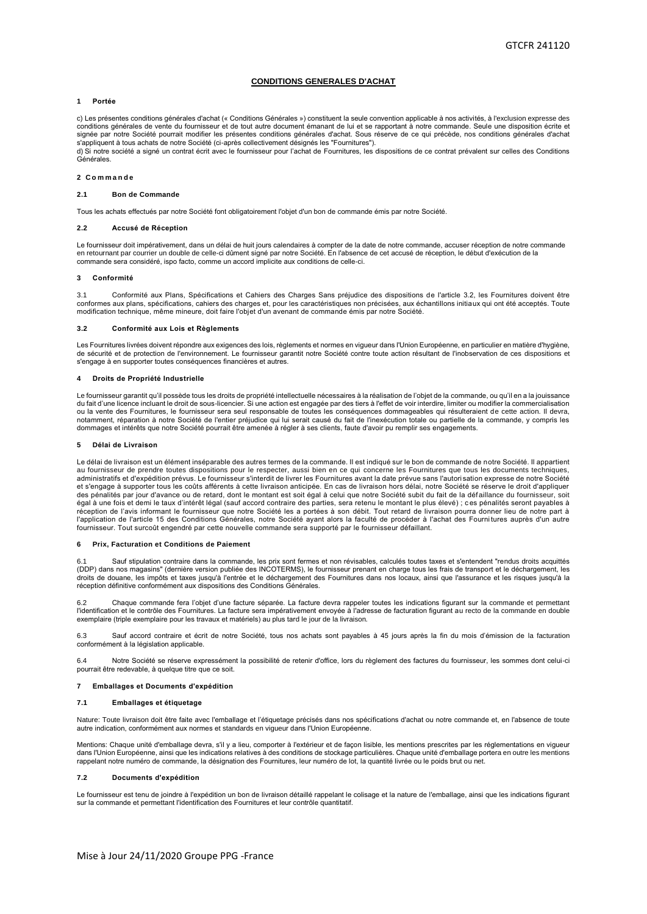# **CONDITIONS GENERALES D'ACHAT**

# <span id="page-3-0"></span>**1 Portée**

c) Les présentes conditions générales d'achat (« Conditions Générales ») constituent la seule convention applicable à nos activités, à l'exclusion expresse des conditions générales de vente du fournisseur et de tout autre document émanant de lui et se rapportant à notre commande. Seule une disposition écrite et signée par notre Société pourrait modifier les présentes conditions générales d'achat. Sous réserve de ce qui précède, nos conditions générales d'achat s'appliquent à tous achats de notre Société (ci-après collectivement désignés les "Fournitures").

d) Si notre société a signé un contrat écrit avec le fournisseur pour l'achat de Fournitures, les dispositions de ce contrat prévalent sur celles des Conditions Générales.

#### **2 C o m m a n d e**

# **2.1 Bon de Commande**

Tous les achats effectués par notre Société font obligatoirement l'objet d'un bon de commande émis par notre Société.

#### **2.2 Accusé de Réception**

Le fournisseur doit impérativement, dans un délai de huit jours calendaires à compter de la date de notre commande, accuser réception de notre commande en retournant par courrier un double de celle-ci dûment signé par notre Société. En l'absence de cet accusé de réception, le début d'exécution de la commande sera considéré, ispo facto, comme un accord implicite aux conditions de celle-ci.

### **3 Conformité**

Conformité aux Plans, Spécifications et Cahiers des Charges Sans préjudice des dispositions de l'article 3.2, les Fournitures doivent être conformes aux plans, spécifications, cahiers des charges et, pour les caractéristiques non précisées, aux échantillons initiaux qui ont été acceptés. Toute<br>modification technique, même mineure, doit faire l'objet d'un aven

### **3.2 Conformité aux Lois et Règlements**

Les Fournitures livrées doivent répondre aux exigences des lois, règlements et normes en vigueur dans l'Union Européenne, en particulier en matière d'hygiène, de sécurité et de protection de l'environnement. Le fournisseur garantit notre Société contre toute action résultant de l'inobservation de ces dispositions et s'engage à en supporter toutes conséquences financières et autres.

## **4 Droits de Propriété Industrielle**

Le fournisseur garantit qu'il possède tous les droits de propriété intellectuelle nécessaires à la réalisation de l'objet de la commande, ou qu'il en a la jouissance du fait d'une licence incluant le droit de sous-licencier. Si une action est engagée par des tiers à l'effet de voir interdre, limiter ou modifier la commercialisation<br>ou la vente des Fournitures, le fournisseur sera seul notamment, réparation à notre Société de l'entier préjudice qui lui serait causé du fait de l'inexécution totale ou partielle de la commande, y compris les dommages et intérêts que notre Société pourrait être amenée à régler à ses clients, faute d'avoir pu remplir ses engagements.

# **5 Délai de Livraison**

Le délai de livraison est un élément inséparable des autres termes de la commande. Il est indiqué sur le bon de commande de notre Société. Il appartient au fournisseur de prendre toutes dispositions pour le respecter, aussi bien en ce qui concerne les Fournitures que tous les documents techniques,<br>administratifs et d'expédition prévus. Le fournisseur s'interdit de livrer l et s'engage à supporter tous les coûts afférents à cette livraison anticipée. En cas de livraison hors délai, notre Société se réserve le droit d'appliquer des pénalités par jour d'avance ou de retard, dont le montant est soit égal à celui que notre Société subit du fait de la défaillance du fournisseur, soit égal à une fois et demi le taux d'intérêt légal (sauf accord contraire des parties, sera retenu le montant le plus élevé) ; c es pénalités seront payables à réception de l'avis informant le fournisseur que notre Société les a portées à son débit. Tout retard de livraison pourra donner lieu de notre part à<br>l'application de l'article 15 des Conditions Générales, notre Société ay fournisseur. Tout surcoût engendré par cette nouvelle commande sera supporté par le fournisseur défaillant.

## **6 Prix, Facturation et Conditions de Paiement**

6.1 Sauf stipulation contraire dans la commande, les prix sont fermes et non révisables, calculés toutes taxes et s'entendent "rendus droits acquittés (DDP) dans nos magasins" (dernière version publiée des INCOTERMS), le fournisseur prenant en charge tous les frais de transport et le déchargement, les droits de douane, les impôts et taxes jusqu'à l'entrée et le déchargement des Fournitures dans nos locaux, ainsi que l'assurance et les risques jusqu'à la réception définitive conformément aux dispositions des Conditions Générales.

6.2 Chaque commande fera l'objet d'une facture séparée. La facture devra rappeler toutes les indications figurant sur la commande et permettant l'identification et le contrôle des Fournitures. La facture sera impérativement envoyée à l'adresse de facturation figurant au recto de la commande en double exemplaire (triple exemplaire pour les travaux et matériels) au plus tard le jour de la livraison.

Sauf accord contraire et écrit de notre Société, tous nos achats sont payables à 45 jours après la fin du mois d'émission de la facturation conformément à la législation applicable.

6.4 Notre Société se réserve expressément la possibilité de retenir d'office, lors du règlement des factures du fournisseur, les sommes dont celui-ci pourrait être redevable, à quelque titre que ce soit.

# **7 Emballages et Documents d'expédition**

#### **7.1 Emballages et étiquetage**

Nature: Toute livraison doit être faite avec l'emballage et l'étiquetage précisés dans nos spécifications d'achat ou notre commande et, en l'absence de toute autre indication, conformément aux normes et standards en vigueur dans l'Union Européenne.

Mentions: Chaque unité d'emballage devra, s'il y a lieu, comporter à l'extérieur et de façon lisible, les mentions prescrites par les réglementations en vigueur dans l'Union Européenne, ainsi que les indications relatives à des conditions de stockage particulières. Chaque unité d'emballage portera en outre les mentions rappelant notre numéro de commande, la désignation des Fournitures, leur numéro de lot, la quantité livrée ou le poids brut ou net.

### **7.2 Documents d'expédition**

Le fournisseur est tenu de joindre à l'expédition un bon de livraison détaillé rappelant le colisage et la nature de l'emballage, ainsi que les indications figurant sur la commande et permettant l'identification des Fournitures et leur contrôle quantitatif.